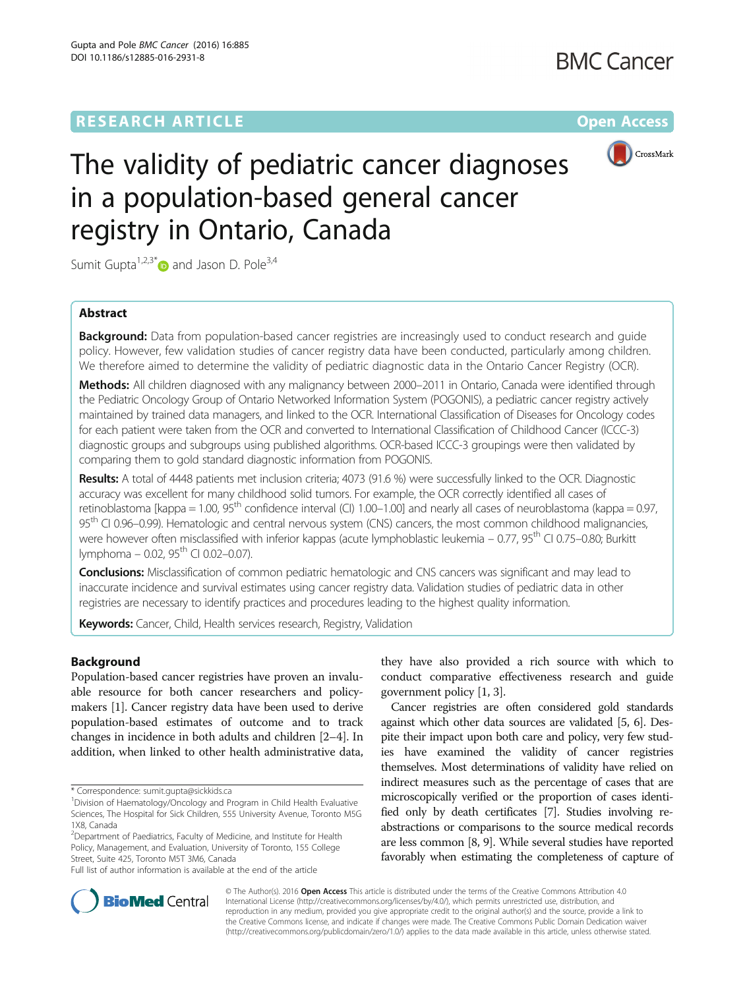## **RESEARCH ARTICLE External Structure Community Community Community Community Community Community Community Community**



# The validity of pediatric cancer diagnoses in a population-based general cancer registry in Ontario, Canada

Sumit Gupta<sup>1,2,3[\\*](http://orcid.org/0000-0003-1334-3670)</sup> and Jason D. Pole<sup>3,4</sup>

## Abstract

**Background:** Data from population-based cancer registries are increasingly used to conduct research and quide policy. However, few validation studies of cancer registry data have been conducted, particularly among children. We therefore aimed to determine the validity of pediatric diagnostic data in the Ontario Cancer Registry (OCR).

Methods: All children diagnosed with any malignancy between 2000–2011 in Ontario, Canada were identified through the Pediatric Oncology Group of Ontario Networked Information System (POGONIS), a pediatric cancer registry actively maintained by trained data managers, and linked to the OCR. International Classification of Diseases for Oncology codes for each patient were taken from the OCR and converted to International Classification of Childhood Cancer (ICCC-3) diagnostic groups and subgroups using published algorithms. OCR-based ICCC-3 groupings were then validated by comparing them to gold standard diagnostic information from POGONIS.

Results: A total of 4448 patients met inclusion criteria; 4073 (91.6 %) were successfully linked to the OCR. Diagnostic accuracy was excellent for many childhood solid tumors. For example, the OCR correctly identified all cases of retinoblastoma [kappa = 1.00,  $95<sup>th</sup>$  confidence interval (CI) 1.00–1.00] and nearly all cases of neuroblastoma (kappa = 0.97, 95<sup>th</sup> CI 0.96–0.99). Hematologic and central nervous system (CNS) cancers, the most common childhood malignancies, were however often misclassified with inferior kappas (acute lymphoblastic leukemia – 0.77, 95<sup>th</sup> CI 0.75–0.80; Burkitt lymphoma – 0.02,  $95^{th}$  CI 0.02–0.07).

Conclusions: Misclassification of common pediatric hematologic and CNS cancers was significant and may lead to inaccurate incidence and survival estimates using cancer registry data. Validation studies of pediatric data in other registries are necessary to identify practices and procedures leading to the highest quality information.

Keywords: Cancer, Child, Health services research, Registry, Validation

## Background

Population-based cancer registries have proven an invaluable resource for both cancer researchers and policymakers [[1\]](#page-7-0). Cancer registry data have been used to derive population-based estimates of outcome and to track changes in incidence in both adults and children [\[2](#page-7-0)–[4\]](#page-7-0). In addition, when linked to other health administrative data,

<sup>2</sup>Department of Paediatrics, Faculty of Medicine, and Institute for Health Policy, Management, and Evaluation, University of Toronto, 155 College Street, Suite 425, Toronto M5T 3M6, Canada

Full list of author information is available at the end of the article

they have also provided a rich source with which to conduct comparative effectiveness research and guide government policy [[1, 3](#page-7-0)].

Cancer registries are often considered gold standards against which other data sources are validated [[5](#page-7-0), [6\]](#page-7-0). Despite their impact upon both care and policy, very few studies have examined the validity of cancer registries themselves. Most determinations of validity have relied on indirect measures such as the percentage of cases that are microscopically verified or the proportion of cases identified only by death certificates [[7](#page-7-0)]. Studies involving reabstractions or comparisons to the source medical records are less common [\[8, 9](#page-7-0)]. While several studies have reported favorably when estimating the completeness of capture of



© The Author(s). 2016 Open Access This article is distributed under the terms of the Creative Commons Attribution 4.0 International License [\(http://creativecommons.org/licenses/by/4.0/](http://creativecommons.org/licenses/by/4.0/)), which permits unrestricted use, distribution, and reproduction in any medium, provided you give appropriate credit to the original author(s) and the source, provide a link to the Creative Commons license, and indicate if changes were made. The Creative Commons Public Domain Dedication waiver [\(http://creativecommons.org/publicdomain/zero/1.0/](http://creativecommons.org/publicdomain/zero/1.0/)) applies to the data made available in this article, unless otherwise stated.

<sup>\*</sup> Correspondence: [sumit.gupta@sickkids.ca](mailto:sumit.gupta@sickkids.ca) <sup>1</sup>

Division of Haematology/Oncology and Program in Child Health Evaluative Sciences, The Hospital for Sick Children, 555 University Avenue, Toronto M5G 1X8, Canada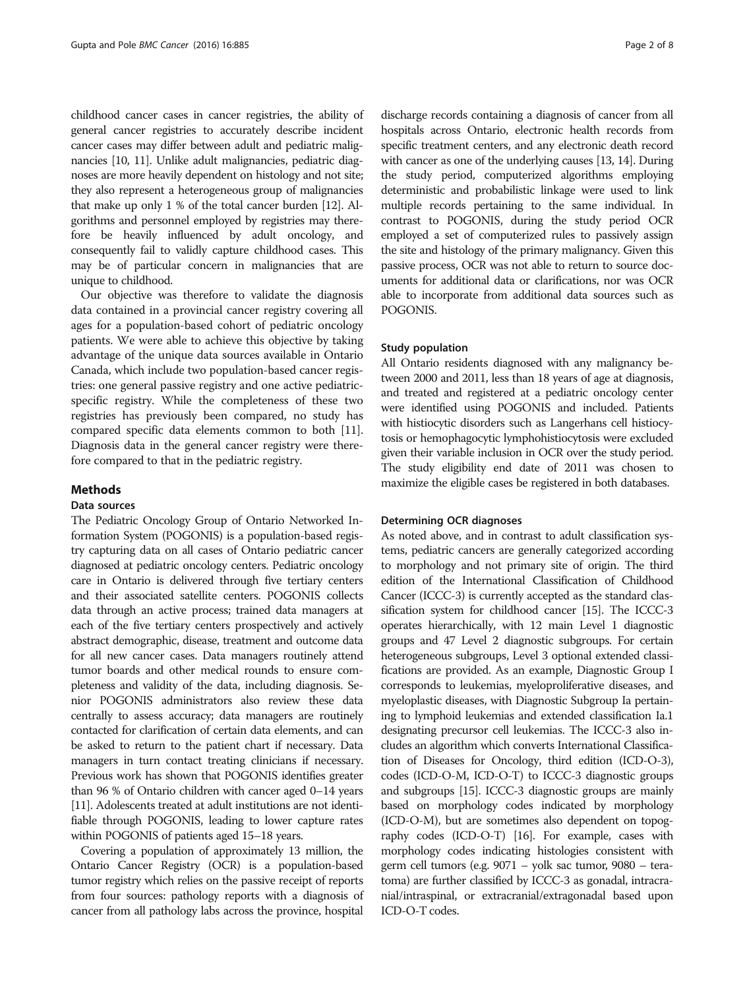childhood cancer cases in cancer registries, the ability of general cancer registries to accurately describe incident cancer cases may differ between adult and pediatric malignancies [\[10, 11\]](#page-7-0). Unlike adult malignancies, pediatric diagnoses are more heavily dependent on histology and not site; they also represent a heterogeneous group of malignancies that make up only 1 % of the total cancer burden [\[12\]](#page-7-0). Algorithms and personnel employed by registries may therefore be heavily influenced by adult oncology, and consequently fail to validly capture childhood cases. This may be of particular concern in malignancies that are unique to childhood.

Our objective was therefore to validate the diagnosis data contained in a provincial cancer registry covering all ages for a population-based cohort of pediatric oncology patients. We were able to achieve this objective by taking advantage of the unique data sources available in Ontario Canada, which include two population-based cancer registries: one general passive registry and one active pediatricspecific registry. While the completeness of these two registries has previously been compared, no study has compared specific data elements common to both [[11](#page-7-0)]. Diagnosis data in the general cancer registry were therefore compared to that in the pediatric registry.

### Methods

## Data sources

The Pediatric Oncology Group of Ontario Networked Information System (POGONIS) is a population-based registry capturing data on all cases of Ontario pediatric cancer diagnosed at pediatric oncology centers. Pediatric oncology care in Ontario is delivered through five tertiary centers and their associated satellite centers. POGONIS collects data through an active process; trained data managers at each of the five tertiary centers prospectively and actively abstract demographic, disease, treatment and outcome data for all new cancer cases. Data managers routinely attend tumor boards and other medical rounds to ensure completeness and validity of the data, including diagnosis. Senior POGONIS administrators also review these data centrally to assess accuracy; data managers are routinely contacted for clarification of certain data elements, and can be asked to return to the patient chart if necessary. Data managers in turn contact treating clinicians if necessary. Previous work has shown that POGONIS identifies greater than 96 % of Ontario children with cancer aged 0–14 years [[11](#page-7-0)]. Adolescents treated at adult institutions are not identifiable through POGONIS, leading to lower capture rates within POGONIS of patients aged 15–18 years.

Covering a population of approximately 13 million, the Ontario Cancer Registry (OCR) is a population-based tumor registry which relies on the passive receipt of reports from four sources: pathology reports with a diagnosis of cancer from all pathology labs across the province, hospital

discharge records containing a diagnosis of cancer from all hospitals across Ontario, electronic health records from specific treatment centers, and any electronic death record with cancer as one of the underlying causes [\[13](#page-7-0), [14](#page-7-0)]. During the study period, computerized algorithms employing deterministic and probabilistic linkage were used to link multiple records pertaining to the same individual. In contrast to POGONIS, during the study period OCR employed a set of computerized rules to passively assign the site and histology of the primary malignancy. Given this passive process, OCR was not able to return to source documents for additional data or clarifications, nor was OCR able to incorporate from additional data sources such as POGONIS.

#### Study population

All Ontario residents diagnosed with any malignancy between 2000 and 2011, less than 18 years of age at diagnosis, and treated and registered at a pediatric oncology center were identified using POGONIS and included. Patients with histiocytic disorders such as Langerhans cell histiocytosis or hemophagocytic lymphohistiocytosis were excluded given their variable inclusion in OCR over the study period. The study eligibility end date of 2011 was chosen to maximize the eligible cases be registered in both databases.

#### Determining OCR diagnoses

As noted above, and in contrast to adult classification systems, pediatric cancers are generally categorized according to morphology and not primary site of origin. The third edition of the International Classification of Childhood Cancer (ICCC-3) is currently accepted as the standard classification system for childhood cancer [\[15\]](#page-7-0). The ICCC-3 operates hierarchically, with 12 main Level 1 diagnostic groups and 47 Level 2 diagnostic subgroups. For certain heterogeneous subgroups, Level 3 optional extended classifications are provided. As an example, Diagnostic Group I corresponds to leukemias, myeloproliferative diseases, and myeloplastic diseases, with Diagnostic Subgroup Ia pertaining to lymphoid leukemias and extended classification Ia.1 designating precursor cell leukemias. The ICCC-3 also includes an algorithm which converts International Classification of Diseases for Oncology, third edition (ICD-O-3), codes (ICD-O-M, ICD-O-T) to ICCC-3 diagnostic groups and subgroups [\[15\]](#page-7-0). ICCC-3 diagnostic groups are mainly based on morphology codes indicated by morphology (ICD-O-M), but are sometimes also dependent on topography codes (ICD-O-T) [[16](#page-7-0)]. For example, cases with morphology codes indicating histologies consistent with germ cell tumors (e.g. 9071 – yolk sac tumor, 9080 – teratoma) are further classified by ICCC-3 as gonadal, intracranial/intraspinal, or extracranial/extragonadal based upon ICD-O-T codes.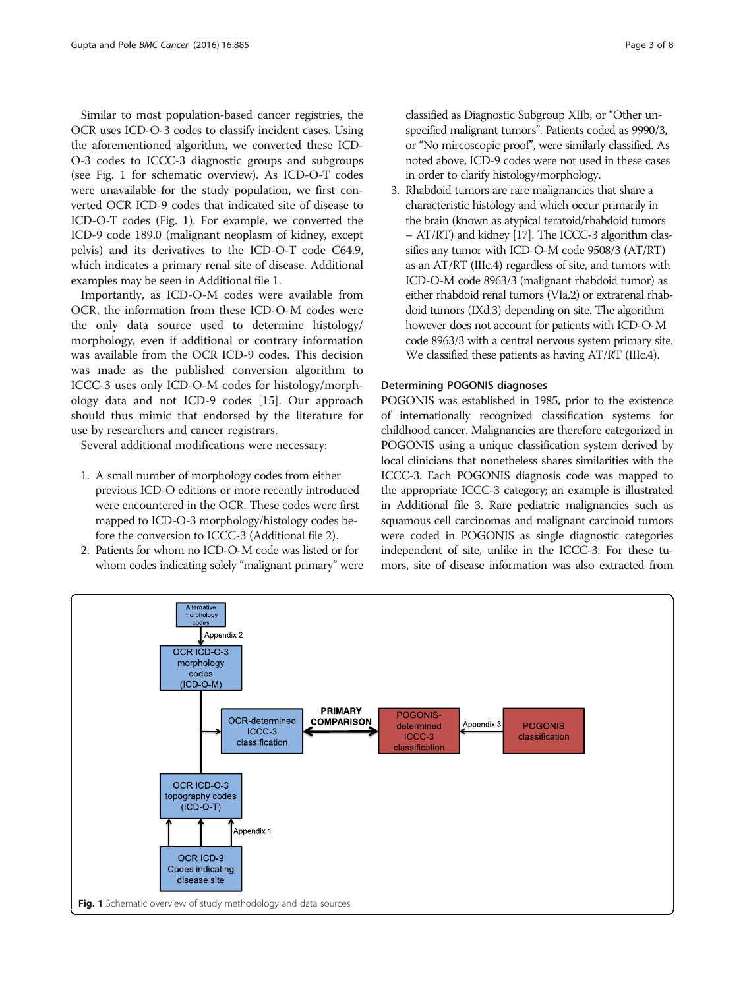Similar to most population-based cancer registries, the OCR uses ICD-O-3 codes to classify incident cases. Using the aforementioned algorithm, we converted these ICD-O-3 codes to ICCC-3 diagnostic groups and subgroups (see Fig. 1 for schematic overview). As ICD-O-T codes were unavailable for the study population, we first converted OCR ICD-9 codes that indicated site of disease to ICD-O-T codes (Fig. 1). For example, we converted the ICD-9 code 189.0 (malignant neoplasm of kidney, except pelvis) and its derivatives to the ICD-O-T code C64.9, which indicates a primary renal site of disease. Additional examples may be seen in Additional file [1.](#page-6-0)

Importantly, as ICD-O-M codes were available from OCR, the information from these ICD-O-M codes were the only data source used to determine histology/ morphology, even if additional or contrary information was available from the OCR ICD-9 codes. This decision was made as the published conversion algorithm to ICCC-3 uses only ICD-O-M codes for histology/morphology data and not ICD-9 codes [[15\]](#page-7-0). Our approach should thus mimic that endorsed by the literature for use by researchers and cancer registrars.

Several additional modifications were necessary:

- 1. A small number of morphology codes from either previous ICD-O editions or more recently introduced were encountered in the OCR. These codes were first mapped to ICD-O-3 morphology/histology codes before the conversion to ICCC-3 (Additional file [2](#page-6-0)).
- 2. Patients for whom no ICD-O-M code was listed or for whom codes indicating solely "malignant primary" were

classified as Diagnostic Subgroup XIIb, or "Other unspecified malignant tumors". Patients coded as 9990/3, or "No mircoscopic proof", were similarly classified. As noted above, ICD-9 codes were not used in these cases in order to clarify histology/morphology.

3. Rhabdoid tumors are rare malignancies that share a characteristic histology and which occur primarily in the brain (known as atypical teratoid/rhabdoid tumors – AT/RT) and kidney [\[17](#page-7-0)]. The ICCC-3 algorithm classifies any tumor with ICD-O-M code 9508/3 (AT/RT) as an AT/RT (IIIc.4) regardless of site, and tumors with ICD-O-M code 8963/3 (malignant rhabdoid tumor) as either rhabdoid renal tumors (VIa.2) or extrarenal rhabdoid tumors (IXd.3) depending on site. The algorithm however does not account for patients with ICD-O-M code 8963/3 with a central nervous system primary site. We classified these patients as having AT/RT (IIIc.4).

#### Determining POGONIS diagnoses

POGONIS was established in 1985, prior to the existence of internationally recognized classification systems for childhood cancer. Malignancies are therefore categorized in POGONIS using a unique classification system derived by local clinicians that nonetheless shares similarities with the ICCC-3. Each POGONIS diagnosis code was mapped to the appropriate ICCC-3 category; an example is illustrated in Additional file [3](#page-6-0). Rare pediatric malignancies such as squamous cell carcinomas and malignant carcinoid tumors were coded in POGONIS as single diagnostic categories independent of site, unlike in the ICCC-3. For these tumors, site of disease information was also extracted from

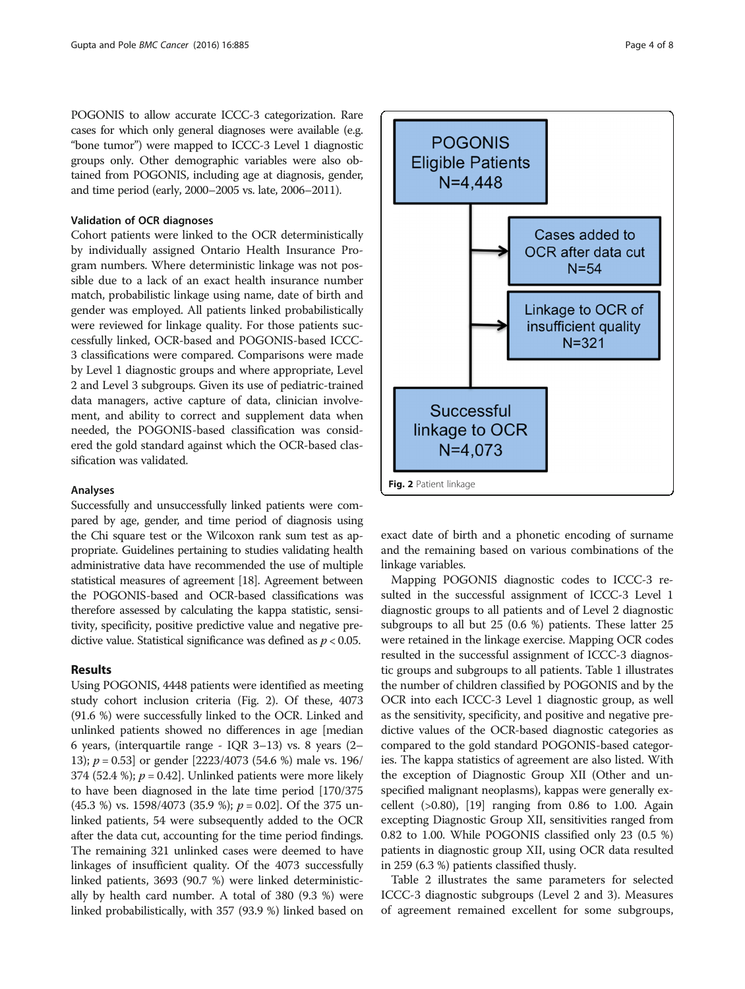POGONIS to allow accurate ICCC-3 categorization. Rare cases for which only general diagnoses were available (e.g. "bone tumor") were mapped to ICCC-3 Level 1 diagnostic groups only. Other demographic variables were also obtained from POGONIS, including age at diagnosis, gender, and time period (early, 2000–2005 vs. late, 2006–2011).

#### Validation of OCR diagnoses

Cohort patients were linked to the OCR deterministically by individually assigned Ontario Health Insurance Program numbers. Where deterministic linkage was not possible due to a lack of an exact health insurance number match, probabilistic linkage using name, date of birth and gender was employed. All patients linked probabilistically were reviewed for linkage quality. For those patients successfully linked, OCR-based and POGONIS-based ICCC-3 classifications were compared. Comparisons were made by Level 1 diagnostic groups and where appropriate, Level 2 and Level 3 subgroups. Given its use of pediatric-trained data managers, active capture of data, clinician involvement, and ability to correct and supplement data when needed, the POGONIS-based classification was considered the gold standard against which the OCR-based classification was validated.

### Analyses

Successfully and unsuccessfully linked patients were compared by age, gender, and time period of diagnosis using the Chi square test or the Wilcoxon rank sum test as appropriate. Guidelines pertaining to studies validating health administrative data have recommended the use of multiple statistical measures of agreement [[18](#page-7-0)]. Agreement between the POGONIS-based and OCR-based classifications was therefore assessed by calculating the kappa statistic, sensitivity, specificity, positive predictive value and negative predictive value. Statistical significance was defined as  $p < 0.05$ .

## Results

Using POGONIS, 4448 patients were identified as meeting study cohort inclusion criteria (Fig. 2). Of these, 4073 (91.6 %) were successfully linked to the OCR. Linked and unlinked patients showed no differences in age [median 6 years, (interquartile range - IQR 3–13) vs. 8 years (2– 13); p = 0.53] or gender [2223/4073 (54.6 %) male vs. 196/ 374 (52.4 %);  $p = 0.42$ ]. Unlinked patients were more likely to have been diagnosed in the late time period [170/375  $(45.3 \%)$  vs. 1598/4073 (35.9 %);  $p = 0.02$ . Of the 375 unlinked patients, 54 were subsequently added to the OCR after the data cut, accounting for the time period findings. The remaining 321 unlinked cases were deemed to have linkages of insufficient quality. Of the 4073 successfully linked patients, 3693 (90.7 %) were linked deterministically by health card number. A total of 380 (9.3 %) were linked probabilistically, with 357 (93.9 %) linked based on



exact date of birth and a phonetic encoding of surname and the remaining based on various combinations of the linkage variables.

Mapping POGONIS diagnostic codes to ICCC-3 resulted in the successful assignment of ICCC-3 Level 1 diagnostic groups to all patients and of Level 2 diagnostic subgroups to all but 25 (0.6 %) patients. These latter 25 were retained in the linkage exercise. Mapping OCR codes resulted in the successful assignment of ICCC-3 diagnostic groups and subgroups to all patients. Table [1](#page-4-0) illustrates the number of children classified by POGONIS and by the OCR into each ICCC-3 Level 1 diagnostic group, as well as the sensitivity, specificity, and positive and negative predictive values of the OCR-based diagnostic categories as compared to the gold standard POGONIS-based categories. The kappa statistics of agreement are also listed. With the exception of Diagnostic Group XII (Other and unspecified malignant neoplasms), kappas were generally excellent (>0.80), [\[19\]](#page-7-0) ranging from 0.86 to 1.00. Again excepting Diagnostic Group XII, sensitivities ranged from 0.82 to 1.00. While POGONIS classified only 23 (0.5 %) patients in diagnostic group XII, using OCR data resulted in 259 (6.3 %) patients classified thusly.

Table [2](#page-4-0) illustrates the same parameters for selected ICCC-3 diagnostic subgroups (Level 2 and 3). Measures of agreement remained excellent for some subgroups,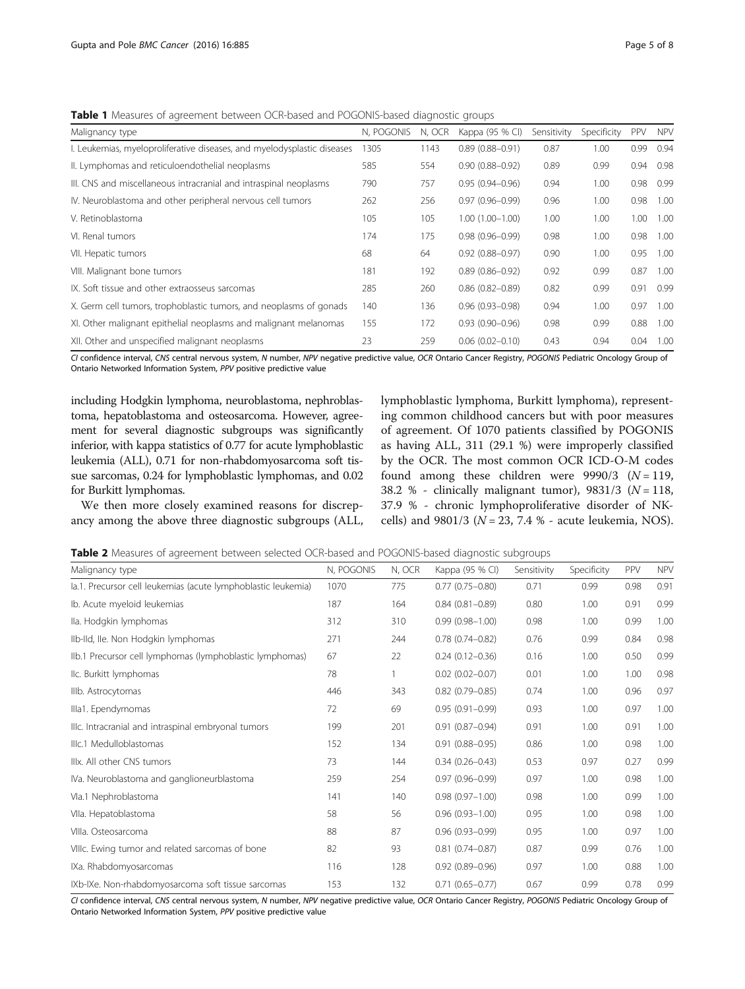<span id="page-4-0"></span>**Table 1** Measures of agreement between OCR-based and POGONIS-based diagnostic groups

| Malignancy type                                                         | N, POGONIS | N, OCR | Kappa (95 % CI)     | Sensitivity | Specificity | PPV  | <b>NPV</b> |
|-------------------------------------------------------------------------|------------|--------|---------------------|-------------|-------------|------|------------|
| I. Leukemias, myeloproliferative diseases, and myelodysplastic diseases | 1305       | 1143   | $0.89(0.88 - 0.91)$ | 0.87        | 1.00        | 0.99 | 0.94       |
| II. Lymphomas and reticuloendothelial neoplasms                         | 585        | 554    | $0.90(0.88 - 0.92)$ | 0.89        | 0.99        | 0.94 | 0.98       |
| III. CNS and miscellaneous intracranial and intraspinal neoplasms       | 790        | 757    | $0.95(0.94 - 0.96)$ | 0.94        | 1.00        | 0.98 | 0.99       |
| IV. Neuroblastoma and other peripheral nervous cell tumors              | 262        | 256    | $0.97(0.96 - 0.99)$ | 0.96        | 1.00        | 0.98 | 1.00       |
| V. Retinoblastoma                                                       | 105        | 105    | $1.00(1.00 - 1.00)$ | 1.00        | 1.00        | 1.00 | 1.00       |
| VI. Renal tumors                                                        | 174        | 175    | $0.98(0.96 - 0.99)$ | 0.98        | 1.00        | 0.98 | 1.00       |
| VII. Hepatic tumors                                                     | 68         | 64     | $0.92(0.88 - 0.97)$ | 0.90        | 1.00        | 0.95 | 1.00       |
| VIII. Malignant bone tumors                                             | 181        | 192    | $0.89(0.86 - 0.92)$ | 0.92        | 0.99        | 0.87 | 1.00       |
| IX. Soft tissue and other extraosseus sarcomas                          | 285        | 260    | $0.86(0.82 - 0.89)$ | 0.82        | 0.99        | 0.91 | 0.99       |
| X. Germ cell tumors, trophoblastic tumors, and neoplasms of gonads      | 140        | 136    | $0.96(0.93 - 0.98)$ | 0.94        | 1.00        | 0.97 | 1.00       |
| XI. Other malignant epithelial neoplasms and malignant melanomas        | 155        | 172    | $0.93(0.90 - 0.96)$ | 0.98        | 0.99        | 0.88 | 1.00       |
| XII. Other and unspecified malignant neoplasms                          | 23         | 259    | $0.06(0.02 - 0.10)$ | 0.43        | 0.94        | 0.04 | 1.00       |
|                                                                         |            |        |                     |             |             |      |            |

CI confidence interval, CNS central nervous system, N number, NPV negative predictive value, OCR Ontario Cancer Registry, POGONIS Pediatric Oncology Group of Ontario Networked Information System, PPV positive predictive value

including Hodgkin lymphoma, neuroblastoma, nephroblastoma, hepatoblastoma and osteosarcoma. However, agreement for several diagnostic subgroups was significantly inferior, with kappa statistics of 0.77 for acute lymphoblastic leukemia (ALL), 0.71 for non-rhabdomyosarcoma soft tissue sarcomas, 0.24 for lymphoblastic lymphomas, and 0.02 for Burkitt lymphomas.

We then more closely examined reasons for discrepancy among the above three diagnostic subgroups (ALL, lymphoblastic lymphoma, Burkitt lymphoma), representing common childhood cancers but with poor measures of agreement. Of 1070 patients classified by POGONIS as having ALL, 311 (29.1 %) were improperly classified by the OCR. The most common OCR ICD-O-M codes found among these children were  $9990/3$  ( $N = 119$ , 38.2 % - clinically malignant tumor),  $9831/3$  ( $N = 118$ , 37.9 % - chronic lymphoproliferative disorder of NKcells) and  $9801/3$  ( $N = 23, 7.4$  % - acute leukemia, NOS).

|  |  | <b>Table 2</b> Measures of agreement between selected OCR-based and POGONIS-based diagnostic subgroups |
|--|--|--------------------------------------------------------------------------------------------------------|
|  |  |                                                                                                        |

| Malignancy type                                               | N, POGONIS | N, OCR | Kappa (95 % CI)     | Sensitivity | Specificity | PPV  | <b>NPV</b> |
|---------------------------------------------------------------|------------|--------|---------------------|-------------|-------------|------|------------|
| la.1. Precursor cell leukemias (acute lymphoblastic leukemia) | 1070       | 775    | $0.77(0.75 - 0.80)$ | 0.71        | 0.99        | 0.98 | 0.91       |
| Ib. Acute myeloid leukemias                                   | 187        | 164    | $0.84(0.81 - 0.89)$ | 0.80        | 1.00        | 0.91 | 0.99       |
| Ila. Hodgkin lymphomas                                        | 312        | 310    | $0.99(0.98 - 1.00)$ | 0.98        | 1.00        | 0.99 | 1.00       |
| Ilb-Ild, Ile. Non Hodgkin lymphomas                           | 271        | 244    | $0.78(0.74 - 0.82)$ | 0.76        | 0.99        | 0.84 | 0.98       |
| IIb.1 Precursor cell lymphomas (lymphoblastic lymphomas)      | 67         | 22     | $0.24(0.12 - 0.36)$ | 0.16        | 1.00        | 0.50 | 0.99       |
| IIc. Burkitt lymphomas                                        | 78         | 1      | $0.02$ (0.02-0.07)  | 0.01        | 1.00        | 1.00 | 0.98       |
| IIIb. Astrocytomas                                            | 446        | 343    | $0.82$ (0.79-0.85)  | 0.74        | 1.00        | 0.96 | 0.97       |
| Illa1. Ependymomas                                            | 72         | 69     | $0.95(0.91 - 0.99)$ | 0.93        | 1.00        | 0.97 | 1.00       |
| Illc. Intracranial and intraspinal embryonal tumors           | 199        | 201    | $0.91(0.87 - 0.94)$ | 0.91        | 1.00        | 0.91 | 1.00       |
| Illc.1 Medulloblastomas                                       | 152        | 134    | $0.91(0.88 - 0.95)$ | 0.86        | 1.00        | 0.98 | 1.00       |
| Illx. All other CNS tumors                                    | 73         | 144    | $0.34(0.26 - 0.43)$ | 0.53        | 0.97        | 0.27 | 0.99       |
| IVa. Neuroblastoma and ganglioneurblastoma                    | 259        | 254    | $0.97(0.96 - 0.99)$ | 0.97        | 1.00        | 0.98 | 1.00       |
| Vla.1 Nephroblastoma                                          | 141        | 140    | $0.98(0.97 - 1.00)$ | 0.98        | 1.00        | 0.99 | 1.00       |
| VIIa. Hepatoblastoma                                          | 58         | 56     | $0.96(0.93 - 1.00)$ | 0.95        | 1.00        | 0.98 | 1.00       |
| VIIIa. Osteosarcoma                                           | 88         | 87     | $0.96(0.93 - 0.99)$ | 0.95        | 1.00        | 0.97 | 1.00       |
| VIIIc. Ewing tumor and related sarcomas of bone               | 82         | 93     | $0.81$ (0.74-0.87)  | 0.87        | 0.99        | 0.76 | 1.00       |
| IXa. Rhabdomyosarcomas                                        | 116        | 128    | $0.92(0.89 - 0.96)$ | 0.97        | 1.00        | 0.88 | 1.00       |
| IXb-IXe. Non-rhabdomyosarcoma soft tissue sarcomas            | 153        | 132    | $0.71(0.65 - 0.77)$ | 0.67        | 0.99        | 0.78 | 0.99       |

CI confidence interval, CNS central nervous system, N number, NPV negative predictive value, OCR Ontario Cancer Registry, POGONIS Pediatric Oncology Group of Ontario Networked Information System, PPV positive predictive value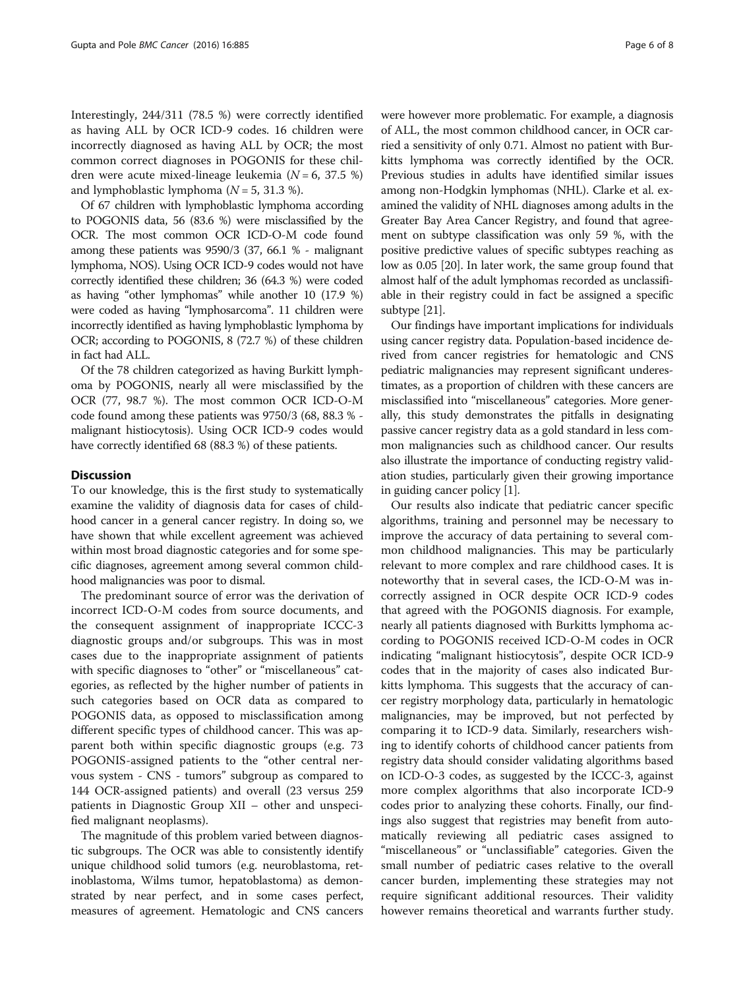Interestingly, 244/311 (78.5 %) were correctly identified as having ALL by OCR ICD-9 codes. 16 children were incorrectly diagnosed as having ALL by OCR; the most common correct diagnoses in POGONIS for these children were acute mixed-lineage leukemia ( $N = 6$ , 37.5 %) and lymphoblastic lymphoma  $(N = 5, 31.3 \%)$ .

Of 67 children with lymphoblastic lymphoma according to POGONIS data, 56 (83.6 %) were misclassified by the OCR. The most common OCR ICD-O-M code found among these patients was 9590/3 (37, 66.1 % - malignant lymphoma, NOS). Using OCR ICD-9 codes would not have correctly identified these children; 36 (64.3 %) were coded as having "other lymphomas" while another 10 (17.9 %) were coded as having "lymphosarcoma". 11 children were incorrectly identified as having lymphoblastic lymphoma by OCR; according to POGONIS, 8 (72.7 %) of these children in fact had ALL.

Of the 78 children categorized as having Burkitt lymphoma by POGONIS, nearly all were misclassified by the OCR (77, 98.7 %). The most common OCR ICD-O-M code found among these patients was 9750/3 (68, 88.3 % malignant histiocytosis). Using OCR ICD-9 codes would have correctly identified 68 (88.3 %) of these patients.

## **Discussion**

To our knowledge, this is the first study to systematically examine the validity of diagnosis data for cases of childhood cancer in a general cancer registry. In doing so, we have shown that while excellent agreement was achieved within most broad diagnostic categories and for some specific diagnoses, agreement among several common childhood malignancies was poor to dismal.

The predominant source of error was the derivation of incorrect ICD-O-M codes from source documents, and the consequent assignment of inappropriate ICCC-3 diagnostic groups and/or subgroups. This was in most cases due to the inappropriate assignment of patients with specific diagnoses to "other" or "miscellaneous" categories, as reflected by the higher number of patients in such categories based on OCR data as compared to POGONIS data, as opposed to misclassification among different specific types of childhood cancer. This was apparent both within specific diagnostic groups (e.g. 73 POGONIS-assigned patients to the "other central nervous system - CNS - tumors" subgroup as compared to 144 OCR-assigned patients) and overall (23 versus 259 patients in Diagnostic Group XII – other and unspecified malignant neoplasms).

The magnitude of this problem varied between diagnostic subgroups. The OCR was able to consistently identify unique childhood solid tumors (e.g. neuroblastoma, retinoblastoma, Wilms tumor, hepatoblastoma) as demonstrated by near perfect, and in some cases perfect, measures of agreement. Hematologic and CNS cancers were however more problematic. For example, a diagnosis of ALL, the most common childhood cancer, in OCR carried a sensitivity of only 0.71. Almost no patient with Burkitts lymphoma was correctly identified by the OCR. Previous studies in adults have identified similar issues among non-Hodgkin lymphomas (NHL). Clarke et al. examined the validity of NHL diagnoses among adults in the Greater Bay Area Cancer Registry, and found that agreement on subtype classification was only 59 %, with the positive predictive values of specific subtypes reaching as low as 0.05 [[20](#page-7-0)]. In later work, the same group found that almost half of the adult lymphomas recorded as unclassifiable in their registry could in fact be assigned a specific subtype [\[21\]](#page-7-0).

Our findings have important implications for individuals using cancer registry data. Population-based incidence derived from cancer registries for hematologic and CNS pediatric malignancies may represent significant underestimates, as a proportion of children with these cancers are misclassified into "miscellaneous" categories. More generally, this study demonstrates the pitfalls in designating passive cancer registry data as a gold standard in less common malignancies such as childhood cancer. Our results also illustrate the importance of conducting registry validation studies, particularly given their growing importance in guiding cancer policy [[1\]](#page-7-0).

Our results also indicate that pediatric cancer specific algorithms, training and personnel may be necessary to improve the accuracy of data pertaining to several common childhood malignancies. This may be particularly relevant to more complex and rare childhood cases. It is noteworthy that in several cases, the ICD-O-M was incorrectly assigned in OCR despite OCR ICD-9 codes that agreed with the POGONIS diagnosis. For example, nearly all patients diagnosed with Burkitts lymphoma according to POGONIS received ICD-O-M codes in OCR indicating "malignant histiocytosis", despite OCR ICD-9 codes that in the majority of cases also indicated Burkitts lymphoma. This suggests that the accuracy of cancer registry morphology data, particularly in hematologic malignancies, may be improved, but not perfected by comparing it to ICD-9 data. Similarly, researchers wishing to identify cohorts of childhood cancer patients from registry data should consider validating algorithms based on ICD-O-3 codes, as suggested by the ICCC-3, against more complex algorithms that also incorporate ICD-9 codes prior to analyzing these cohorts. Finally, our findings also suggest that registries may benefit from automatically reviewing all pediatric cases assigned to "miscellaneous" or "unclassifiable" categories. Given the small number of pediatric cases relative to the overall cancer burden, implementing these strategies may not require significant additional resources. Their validity however remains theoretical and warrants further study.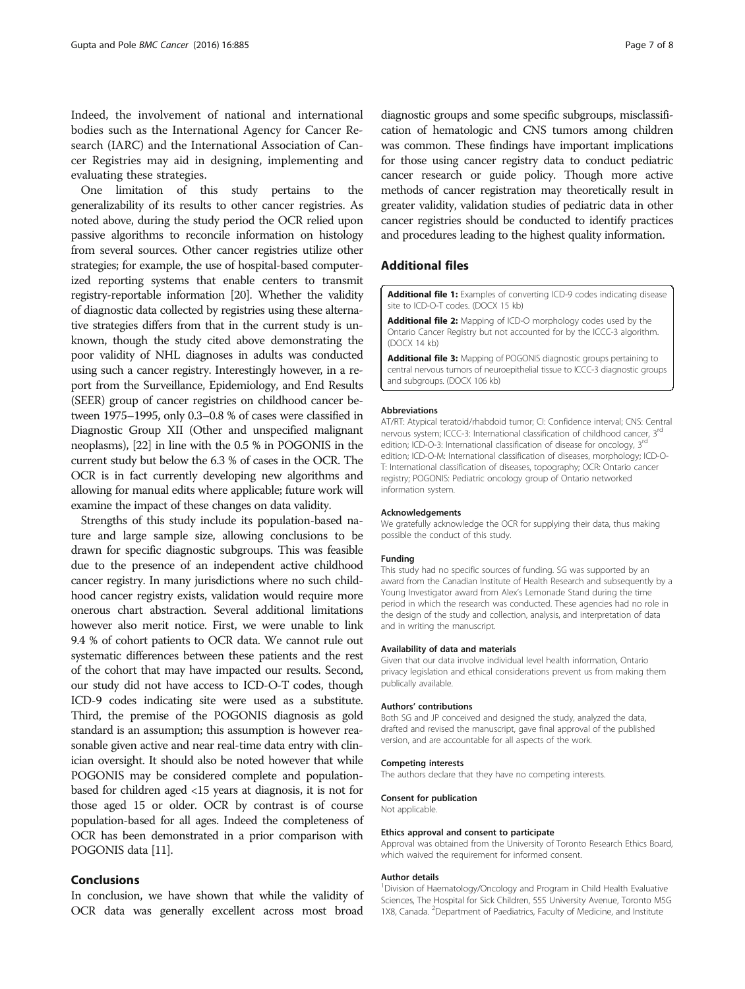<span id="page-6-0"></span>Indeed, the involvement of national and international bodies such as the International Agency for Cancer Research (IARC) and the International Association of Cancer Registries may aid in designing, implementing and evaluating these strategies.

One limitation of this study pertains to the generalizability of its results to other cancer registries. As noted above, during the study period the OCR relied upon passive algorithms to reconcile information on histology from several sources. Other cancer registries utilize other strategies; for example, the use of hospital-based computerized reporting systems that enable centers to transmit registry-reportable information [\[20\]](#page-7-0). Whether the validity of diagnostic data collected by registries using these alternative strategies differs from that in the current study is unknown, though the study cited above demonstrating the poor validity of NHL diagnoses in adults was conducted using such a cancer registry. Interestingly however, in a report from the Surveillance, Epidemiology, and End Results (SEER) group of cancer registries on childhood cancer between 1975–1995, only 0.3–0.8 % of cases were classified in Diagnostic Group XII (Other and unspecified malignant neoplasms), [\[22](#page-7-0)] in line with the 0.5 % in POGONIS in the current study but below the 6.3 % of cases in the OCR. The OCR is in fact currently developing new algorithms and allowing for manual edits where applicable; future work will examine the impact of these changes on data validity.

Strengths of this study include its population-based nature and large sample size, allowing conclusions to be drawn for specific diagnostic subgroups. This was feasible due to the presence of an independent active childhood cancer registry. In many jurisdictions where no such childhood cancer registry exists, validation would require more onerous chart abstraction. Several additional limitations however also merit notice. First, we were unable to link 9.4 % of cohort patients to OCR data. We cannot rule out systematic differences between these patients and the rest of the cohort that may have impacted our results. Second, our study did not have access to ICD-O-T codes, though ICD-9 codes indicating site were used as a substitute. Third, the premise of the POGONIS diagnosis as gold standard is an assumption; this assumption is however reasonable given active and near real-time data entry with clinician oversight. It should also be noted however that while POGONIS may be considered complete and populationbased for children aged <15 years at diagnosis, it is not for those aged 15 or older. OCR by contrast is of course population-based for all ages. Indeed the completeness of OCR has been demonstrated in a prior comparison with POGONIS data [\[11](#page-7-0)].

## Conclusions

In conclusion, we have shown that while the validity of OCR data was generally excellent across most broad

diagnostic groups and some specific subgroups, misclassification of hematologic and CNS tumors among children was common. These findings have important implications for those using cancer registry data to conduct pediatric cancer research or guide policy. Though more active methods of cancer registration may theoretically result in greater validity, validation studies of pediatric data in other cancer registries should be conducted to identify practices and procedures leading to the highest quality information.

## Additional files

[Additional file 1:](dx.doi.org/10.1186/s12885-016-2931-8) Examples of converting ICD-9 codes indicating disease site to ICD-O-T codes. (DOCX 15 kb)

[Additional file 2:](dx.doi.org/10.1186/s12885-016-2931-8) Mapping of ICD-O morphology codes used by the Ontario Cancer Registry but not accounted for by the ICCC-3 algorithm. (DOCX 14 kb)

[Additional file 3:](dx.doi.org/10.1186/s12885-016-2931-8) Mapping of POGONIS diagnostic groups pertaining to central nervous tumors of neuroepithelial tissue to ICCC-3 diagnostic groups and subgroups. (DOCX 106 kb)

#### Abbreviations

AT/RT: Atypical teratoid/rhabdoid tumor; CI: Confidence interval; CNS: Central nervous system; ICCC-3: International classification of childhood cancer, 3<sup>r</sup> edition; ICD-O-3: International classification of disease for oncology, 3<sup>rd</sup> edition; ICD-O-M: International classification of diseases, morphology; ICD-O-T: International classification of diseases, topography; OCR: Ontario cancer registry; POGONIS: Pediatric oncology group of Ontario networked information system.

#### Acknowledgements

We gratefully acknowledge the OCR for supplying their data, thus making possible the conduct of this study.

#### Funding

This study had no specific sources of funding. SG was supported by an award from the Canadian Institute of Health Research and subsequently by a Young Investigator award from Alex's Lemonade Stand during the time period in which the research was conducted. These agencies had no role in the design of the study and collection, analysis, and interpretation of data and in writing the manuscript.

#### Availability of data and materials

Given that our data involve individual level health information, Ontario privacy legislation and ethical considerations prevent us from making them publically available.

#### Authors' contributions

Both SG and JP conceived and designed the study, analyzed the data, drafted and revised the manuscript, gave final approval of the published version, and are accountable for all aspects of the work.

#### Competing interests

The authors declare that they have no competing interests.

#### Consent for publication

Not applicable.

#### Ethics approval and consent to participate

Approval was obtained from the University of Toronto Research Ethics Board, which waived the requirement for informed consent.

#### Author details

<sup>1</sup> Division of Haematology/Oncology and Program in Child Health Evaluative Sciences, The Hospital for Sick Children, 555 University Avenue, Toronto M5G 1X8, Canada. <sup>2</sup>Department of Paediatrics, Faculty of Medicine, and Institute